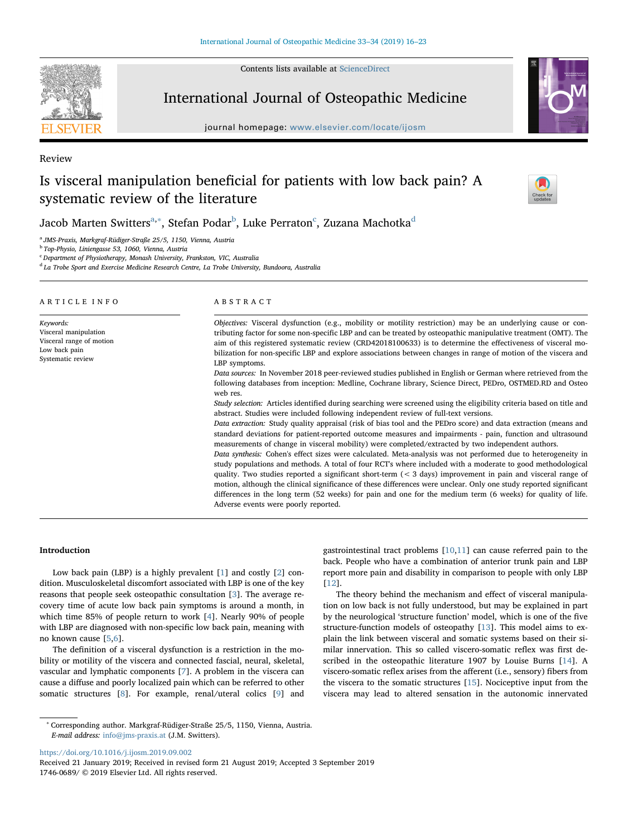Contents lists available at [ScienceDirect](http://www.sciencedirect.com/science/journal/17460689)

## International Journal of Osteopathic Medicine

journal homepage: [www.elsevier.com/locate/ijosm](https://www.elsevier.com/locate/ijosm)

# Is visceral manipulation beneficial for patients with low back pain? A systematic review of the literature

Jacob Marten Switters<sup>[a,](#page-0-0)[∗](#page-0-1)</sup>, Stefan Podar<sup>[b](#page-0-2)</sup>, Luke Perraton<sup>[c](#page-0-3)</sup>, Zuzana Machotka<sup>[d](#page-0-4)</sup>

<span id="page-0-0"></span><sup>a</sup> JMS-Praxis, Markgraf-Rüdiger-Straße 25/5, 1150, Vienna, Austria

<span id="page-0-2"></span><sup>b</sup> Top-Physio, Liniengasse 53, 1060, Vienna, Austria

<span id="page-0-3"></span><sup>c</sup> Department of Physiotherapy, Monash University, Frankston, VIC, Australia

<span id="page-0-4"></span><sup>d</sup> La Trobe Sport and Exercise Medicine Research Centre, La Trobe University, Bundoora, Australia

| ARTICLE INFO                                                                                         | ABSTRACT                                                                                                                                                                                                                                                                                                                                                                                                                                                                         |
|------------------------------------------------------------------------------------------------------|----------------------------------------------------------------------------------------------------------------------------------------------------------------------------------------------------------------------------------------------------------------------------------------------------------------------------------------------------------------------------------------------------------------------------------------------------------------------------------|
| Keywords:<br>Visceral manipulation<br>Visceral range of motion<br>Low back pain<br>Systematic review | Objectives: Visceral dysfunction (e.g., mobility or motility restriction) may be an underlying cause or con-<br>tributing factor for some non-specific LBP and can be treated by osteopathic manipulative treatment (OMT). The<br>aim of this registered systematic review (CRD42018100633) is to determine the effectiveness of visceral mo-<br>bilization for non-specific LBP and explore associations between changes in range of motion of the viscera and<br>LBP symptoms. |
|                                                                                                      | Data sources: In November 2018 peer-reviewed studies published in English or German where retrieved from the<br>following databases from inception: Medline, Cochrane library, Science Direct, PEDro, OSTMED.RD and Osteo<br>web res.                                                                                                                                                                                                                                            |
|                                                                                                      | Study selection: Articles identified during searching were screened using the eligibility criteria based on title and<br>abstract. Studies were included following independent review of full-text versions.                                                                                                                                                                                                                                                                     |
|                                                                                                      | Data extraction: Study quality appraisal (risk of bias tool and the PEDro score) and data extraction (means and<br>standard deviations for patient-reported outcome measures and impairments - pain, function and ultrasound<br>measurements of change in visceral mobility) were completed/extracted by two independent authors.                                                                                                                                                |
|                                                                                                      | Data synthesis: Cohen's effect sizes were calculated. Meta-analysis was not performed due to heterogeneity in<br>study populations and methods. A total of four RCT's where included with a moderate to good methodological<br>quality. Two studies reported a significant short-term $(3 \text{ days}) improvement in pain and visceral range of$                                                                                                                               |
|                                                                                                      | motion, although the clinical significance of these differences were unclear. Only one study reported significant<br>differences in the long term (52 weeks) for pain and one for the medium term (6 weeks) for quality of life.                                                                                                                                                                                                                                                 |
|                                                                                                      | Adverse events were poorly reported.                                                                                                                                                                                                                                                                                                                                                                                                                                             |

## Introduction

Low back pain (LBP) is a highly prevalent [[1](#page-6-0)] and costly [[2](#page-6-1)] condition. Musculoskeletal discomfort associated with LBP is one of the key reasons that people seek osteopathic consultation [\[3\]](#page-6-2). The average recovery time of acute low back pain symptoms is around a month, in which time 85% of people return to work [\[4\]](#page-6-3). Nearly 90% of people with LBP are diagnosed with non-specific low back pain, meaning with no known cause [\[5,](#page-6-4)[6](#page-6-5)].

The definition of a visceral dysfunction is a restriction in the mobility or motility of the viscera and connected fascial, neural, skeletal, vascular and lymphatic components [\[7\]](#page-6-6). A problem in the viscera can cause a diffuse and poorly localized pain which can be referred to other somatic structures [\[8\]](#page-6-7). For example, renal/uteral colics [\[9\]](#page-6-8) and gastrointestinal tract problems [\[10](#page-6-9),[11](#page-6-10)] can cause referred pain to the back. People who have a combination of anterior trunk pain and LBP report more pain and disability in comparison to people with only LBP [[12\]](#page-6-11).

The theory behind the mechanism and effect of visceral manipulation on low back is not fully understood, but may be explained in part by the neurological 'structure function' model, which is one of the five structure-function models of osteopathy [\[13](#page-6-12)]. This model aims to explain the link between visceral and somatic systems based on their similar innervation. This so called viscero-somatic reflex was first described in the osteopathic literature 1907 by Louise Burns [[14](#page-6-13)]. A viscero-somatic reflex arises from the afferent (i.e., sensory) fibers from the viscera to the somatic structures [\[15](#page-6-14)]. Nociceptive input from the viscera may lead to altered sensation in the autonomic innervated

<https://doi.org/10.1016/j.ijosm.2019.09.002>

Received 21 January 2019; Received in revised form 21 August 2019; Accepted 3 September 2019 1746-0689/ © 2019 Elsevier Ltd. All rights reserved.



Review





<span id="page-0-1"></span><sup>∗</sup> Corresponding author. Markgraf-Rüdiger-Straße 25/5, 1150, Vienna, Austria. E-mail address: [info@jms-praxis.at](mailto:info@jms-praxis.at) (J.M. Switters).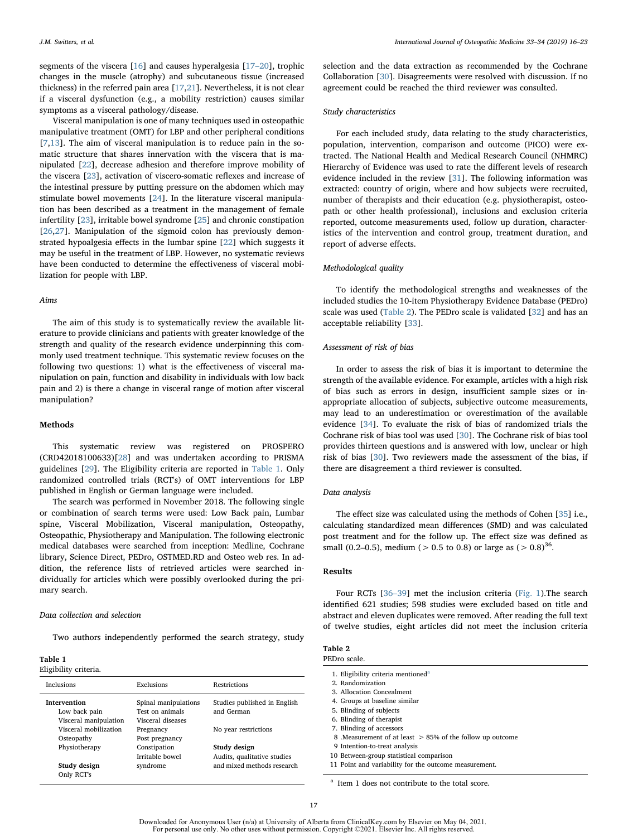segments of the viscera [[16\]](#page-6-15) and causes hyperalgesia [\[17](#page-6-16)–20], trophic changes in the muscle (atrophy) and subcutaneous tissue (increased thickness) in the referred pain area [[17](#page-6-16)[,21](#page-6-17)]. Nevertheless, it is not clear if a visceral dysfunction (e.g., a mobility restriction) causes similar symptoms as a visceral pathology/disease.

Visceral manipulation is one of many techniques used in osteopathic manipulative treatment (OMT) for LBP and other peripheral conditions [[7](#page-6-6),[13\]](#page-6-12). The aim of visceral manipulation is to reduce pain in the somatic structure that shares innervation with the viscera that is manipulated [[22\]](#page-6-18), decrease adhesion and therefore improve mobility of the viscera [\[23](#page-6-19)], activation of viscero-somatic reflexes and increase of the intestinal pressure by putting pressure on the abdomen which may stimulate bowel movements [[24\]](#page-6-20). In the literature visceral manipulation has been described as a treatment in the management of female infertility [\[23](#page-6-19)], irritable bowel syndrome [\[25](#page-6-21)] and chronic constipation [[26](#page-6-22)[,27](#page-6-23)]. Manipulation of the sigmoid colon has previously demonstrated hypoalgesia effects in the lumbar spine [[22\]](#page-6-18) which suggests it may be useful in the treatment of LBP. However, no systematic reviews have been conducted to determine the effectiveness of visceral mobilization for people with LBP.

#### Aims

The aim of this study is to systematically review the available literature to provide clinicians and patients with greater knowledge of the strength and quality of the research evidence underpinning this commonly used treatment technique. This systematic review focuses on the following two questions: 1) what is the effectiveness of visceral manipulation on pain, function and disability in individuals with low back pain and 2) is there a change in visceral range of motion after visceral manipulation?

#### Methods

This systematic review was registered on PROSPERO (CRD42018100633)[[28](#page-6-24)] and was undertaken according to PRISMA guidelines [\[29](#page-6-25)]. The Eligibility criteria are reported in [Table 1](#page-1-0). Only randomized controlled trials (RCT's) of OMT interventions for LBP published in English or German language were included.

The search was performed in November 2018. The following single or combination of search terms were used: Low Back pain, Lumbar spine, Visceral Mobilization, Visceral manipulation, Osteopathy, Osteopathic, Physiotherapy and Manipulation. The following electronic medical databases were searched from inception: Medline, Cochrane library, Science Direct, PEDro, OSTMED.RD and Osteo web res. In addition, the reference lists of retrieved articles were searched individually for articles which were possibly overlooked during the primary search.

#### Data collection and selection

Two authors independently performed the search strategy, study

#### <span id="page-1-0"></span>Table 1 Eligibility criteria.

| $m_{\pi}$                                                     |                                                              |                                             |
|---------------------------------------------------------------|--------------------------------------------------------------|---------------------------------------------|
| Inclusions                                                    | Exclusions                                                   | <b>Restrictions</b>                         |
| <b>Intervention</b><br>Low back pain<br>Visceral manipulation | Spinal manipulations<br>Test on animals<br>Visceral diseases | Studies published in English<br>and German  |
| Visceral mobilization<br>Osteopathy                           | Pregnancy<br>Post pregnancy                                  | No year restrictions                        |
| Physiotherapy                                                 | Constipation<br>Irritable bowel                              | Study design<br>Audits, qualitative studies |
| Study design<br>Only RCT's                                    | syndrome                                                     | and mixed methods research                  |
|                                                               |                                                              |                                             |

selection and the data extraction as recommended by the Cochrane Collaboration [\[30](#page-6-26)]. Disagreements were resolved with discussion. If no agreement could be reached the third reviewer was consulted.

#### Study characteristics

For each included study, data relating to the study characteristics, population, intervention, comparison and outcome (PICO) were extracted. The National Health and Medical Research Council (NHMRC) Hierarchy of Evidence was used to rate the different levels of research evidence included in the review [[31\]](#page-6-27). The following information was extracted: country of origin, where and how subjects were recruited, number of therapists and their education (e.g. physiotherapist, osteopath or other health professional), inclusions and exclusion criteria reported, outcome measurements used, follow up duration, characteristics of the intervention and control group, treatment duration, and report of adverse effects.

#### Methodological quality

To identify the methodological strengths and weaknesses of the included studies the 10-item Physiotherapy Evidence Database (PEDro) scale was used ([Table 2](#page-1-1)). The PEDro scale is validated [[32\]](#page-6-28) and has an acceptable reliability [\[33\]](#page-6-29).

#### Assessment of risk of bias

In order to assess the risk of bias it is important to determine the strength of the available evidence. For example, articles with a high risk of bias such as errors in design, insufficient sample sizes or inappropriate allocation of subjects, subjective outcome measurements, may lead to an underestimation or overestimation of the available evidence [[34\]](#page-6-30). To evaluate the risk of bias of randomized trials the Cochrane risk of bias tool was used [[30\]](#page-6-26). The Cochrane risk of bias tool provides thirteen questions and is answered with low, unclear or high risk of bias [\[30](#page-6-26)]. Two reviewers made the assessment of the bias, if there are disagreement a third reviewer is consulted.

#### Data analysis

The effect size was calculated using the methods of Cohen [[35\]](#page-6-31) i.e., calculating standardized mean differences (SMD) and was calculated post treatment and for the follow up. The effect size was defined as small (0.2–0.5), medium ( $> 0.5$  to 0.8) or large as ( $> 0.8$ )<sup>36</sup>.

#### Results

Four RCTs [36–[39\]](#page-6-32) met the inclusion criteria ([Fig. 1](#page-2-0)).The search identified 621 studies; 598 studies were excluded based on title and abstract and eleven duplicates were removed. After reading the full text of twelve studies, eight articles did not meet the inclusion criteria

<span id="page-1-1"></span>

| Table |  |
|-------|--|
|       |  |

| PEDro scale.                                              |
|-----------------------------------------------------------|
| 1. Eligibility criteria mentioned <sup>a</sup>            |
| 2. Randomization                                          |
| 3. Allocation Concealment                                 |
| 4. Groups at baseline similar                             |
| 5. Blinding of subjects                                   |
| 6. Blinding of therapist                                  |
| 7. Blinding of accessors                                  |
| 8. Measurement of at least > 85% of the follow up outcome |
| 9 Intention-to-treat analysis                             |
| 10 Between-group statistical comparison                   |
| 11 Point and variability for the outcome measurement.     |
|                                                           |

<span id="page-1-2"></span><sup>a</sup> Item 1 does not contribute to the total score.

Downloaded for Anonymous User (n/a) at University of Alberta from ClinicalKey.com by Elsevier on May 04, 2021. For personal use only. No other uses without permission. Copyright ©2021. Elsevier Inc. All rights reserved.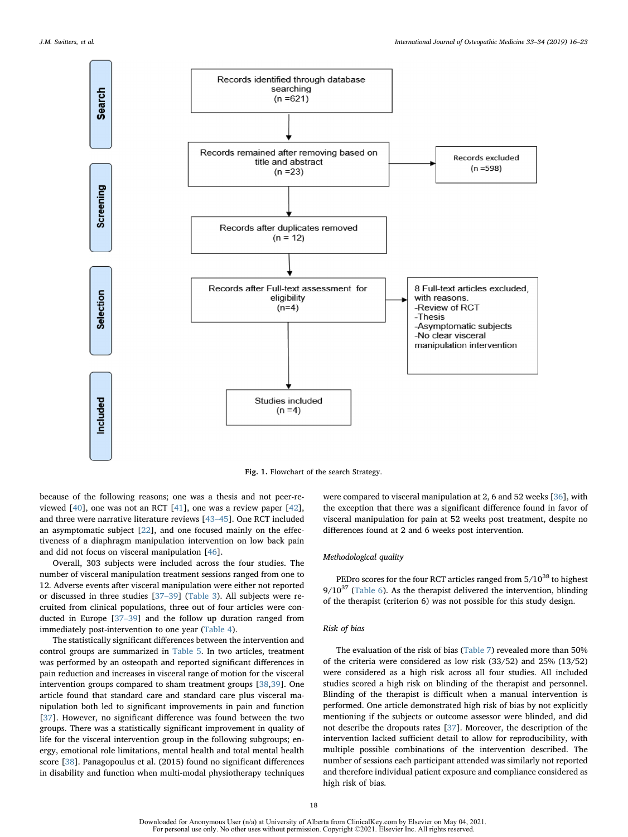<span id="page-2-0"></span>

Fig. 1. Flowchart of the search Strategy.

because of the following reasons; one was a thesis and not peer-reviewed [[40\]](#page-7-0), one was not an RCT [\[41](#page-7-1)], one was a review paper [\[42](#page-7-2)], and three were narrative literature reviews [43–[45\]](#page-7-3). One RCT included an asymptomatic subject [[22\]](#page-6-18), and one focused mainly on the effectiveness of a diaphragm manipulation intervention on low back pain and did not focus on visceral manipulation [[46\]](#page-7-4).

Overall, 303 subjects were included across the four studies. The number of visceral manipulation treatment sessions ranged from one to 12. Adverse events after visceral manipulation were either not reported or discussed in three studies [\[37](#page-6-33)–39] ([Table 3\)](#page-3-0). All subjects were recruited from clinical populations, three out of four articles were conducted in Europe [37–[39\]](#page-6-33) and the follow up duration ranged from immediately post-intervention to one year ([Table 4](#page-4-0)).

The statistically significant differences between the intervention and control groups are summarized in [Table 5.](#page-4-1) In two articles, treatment was performed by an osteopath and reported significant differences in pain reduction and increases in visceral range of motion for the visceral intervention groups compared to sham treatment groups [[38](#page-6-34)[,39](#page-6-35)]. One article found that standard care and standard care plus visceral manipulation both led to significant improvements in pain and function [[37\]](#page-6-33). However, no significant difference was found between the two groups. There was a statistically significant improvement in quality of life for the visceral intervention group in the following subgroups; energy, emotional role limitations, mental health and total mental health score [[38\]](#page-6-34). Panagopoulus et al. (2015) found no significant differences in disability and function when multi-modal physiotherapy techniques

were compared to visceral manipulation at 2, 6 and 52 weeks [\[36](#page-6-32)], with the exception that there was a significant difference found in favor of visceral manipulation for pain at 52 weeks post treatment, despite no differences found at 2 and 6 weeks post intervention.

## Methodological quality

PEDro scores for the four RCT articles ranged from  $5/10^{38}$  to highest  $9/10^{37}$  [\(Table 6](#page-4-2)). As the therapist delivered the intervention, blinding of the therapist (criterion 6) was not possible for this study design.

#### Risk of bias

The evaluation of the risk of bias ([Table 7](#page-5-0)) revealed more than 50% of the criteria were considered as low risk (33/52) and 25% (13/52) were considered as a high risk across all four studies. All included studies scored a high risk on blinding of the therapist and personnel. Blinding of the therapist is difficult when a manual intervention is performed. One article demonstrated high risk of bias by not explicitly mentioning if the subjects or outcome assessor were blinded, and did not describe the dropouts rates [\[37](#page-6-33)]. Moreover, the description of the intervention lacked sufficient detail to allow for reproducibility, with multiple possible combinations of the intervention described. The number of sessions each participant attended was similarly not reported and therefore individual patient exposure and compliance considered as high risk of bias.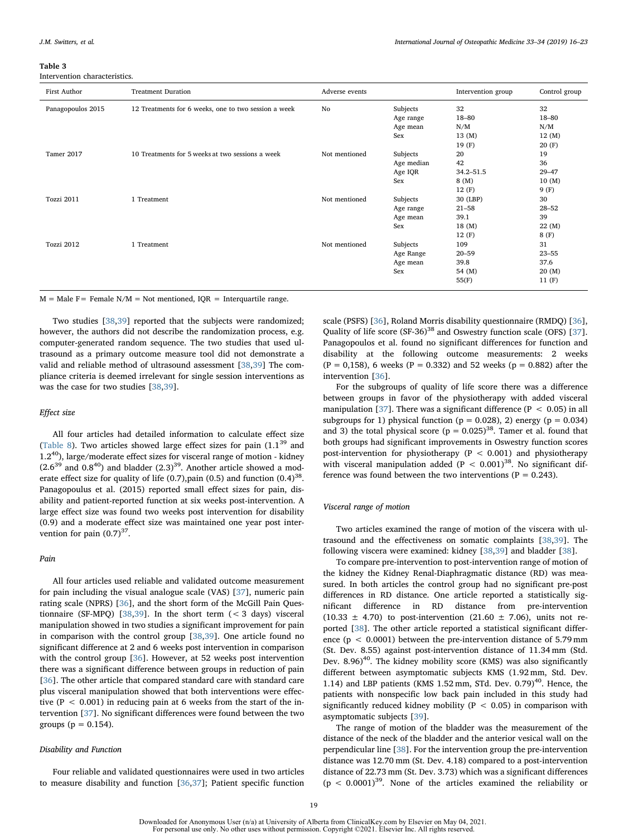<span id="page-3-0"></span>Table 3

Intervention characteristics.

| First Author      | <b>Treatment Duration</b>                            | Adverse events |                                          | Intervention group                                   | Control group                                    |
|-------------------|------------------------------------------------------|----------------|------------------------------------------|------------------------------------------------------|--------------------------------------------------|
| Panagopoulos 2015 | 12 Treatments for 6 weeks, one to two session a week | No             | Subjects<br>Age range<br>Age mean<br>Sex | 32<br>18-80<br>N/M<br>13 (M)                         | 32<br>18-80<br>N/M<br>12(M)                      |
| Tamer 2017        | 10 Treatments for 5 weeks at two sessions a week     | Not mentioned  | Subjects<br>Age median<br>Age IQR<br>Sex | 19(F)<br>20<br>42<br>$34.2 - 51.5$<br>8 (M)<br>12(F) | 20(F)<br>19<br>36<br>$29 - 47$<br>10(M)<br>9 (F) |
| Tozzi 2011        | 1 Treatment                                          | Not mentioned  | Subjects<br>Age range<br>Age mean<br>Sex | 30 (LBP)<br>$21 - 58$<br>39.1<br>18 (M)<br>12(F)     | 30<br>$28 - 52$<br>39<br>22 (M)<br>8 (F)         |
| Tozzi 2012        | 1 Treatment                                          | Not mentioned  | Subjects<br>Age Range<br>Age mean<br>Sex | 109<br>$20 - 59$<br>39.8<br>54 (M)<br>55(F)          | 31<br>$23 - 55$<br>37.6<br>20 (M)<br>11(F)       |

 $M = Male F = Female N/M = Not mentioned, IQR = Interquartile range.$ 

Two studies [\[38](#page-6-34)[,39](#page-6-35)] reported that the subjects were randomized; however, the authors did not describe the randomization process, e.g. computer-generated random sequence. The two studies that used ultrasound as a primary outcome measure tool did not demonstrate a valid and reliable method of ultrasound assessment [[38,](#page-6-34)[39\]](#page-6-35) The compliance criteria is deemed irrelevant for single session interventions as was the case for two studies [\[38](#page-6-34)[,39](#page-6-35)].

#### Effect size

All four articles had detailed information to calculate effect size ([Table 8](#page-5-1)). Two articles showed large effect sizes for pain  $(1.1^{39}$  and  $1.2^{40}$ ), large/moderate effect sizes for visceral range of motion - kidney  $(2.6^{39}$  and  $0.8^{40})$  and bladder  $(2.3)^{39}$ . Another article showed a moderate effect size for quality of life (0.7),pain (0.5) and function  $(0.4)$ <sup>38</sup>. Panagopoulus et al. (2015) reported small effect sizes for pain, disability and patient-reported function at six weeks post-intervention. A large effect size was found two weeks post intervention for disability (0.9) and a moderate effect size was maintained one year post intervention for pain  $(0.7)^{37}$ .

#### Pain

All four articles used reliable and validated outcome measurement for pain including the visual analogue scale (VAS) [\[37](#page-6-33)], numeric pain rating scale (NPRS) [\[36](#page-6-32)], and the short form of the McGill Pain Ques-tionnaire (SF-MPQ) [\[38](#page-6-34),[39](#page-6-35)]. In the short term  $(< 3$  days) visceral manipulation showed in two studies a significant improvement for pain in comparison with the control group [[38,](#page-6-34)[39](#page-6-35)]. One article found no significant difference at 2 and 6 weeks post intervention in comparison with the control group [\[36](#page-6-32)]. However, at 52 weeks post intervention there was a significant difference between groups in reduction of pain [[36\]](#page-6-32). The other article that compared standard care with standard care plus visceral manipulation showed that both interventions were effective ( $P < 0.001$ ) in reducing pain at 6 weeks from the start of the intervention [[37](#page-6-33)]. No significant differences were found between the two groups ( $p = 0.154$ ).

#### Disability and Function

Four reliable and validated questionnaires were used in two articles to measure disability and function [\[36](#page-6-32)[,37](#page-6-33)]; Patient specific function

scale (PSFS) [[36](#page-6-32)], Roland Morris disability questionnaire (RMDQ) [\[36](#page-6-32)], Quality of life score  $(SF-36)^{38}$  and Oswestry function scale (OFS) [\[37](#page-6-33)]. Panagopoulos et al. found no significant differences for function and disability at the following outcome measurements: 2 weeks  $(P = 0.158)$ , 6 weeks  $(P = 0.332)$  and 52 weeks  $(p = 0.882)$  after the intervention [[36\]](#page-6-32).

For the subgroups of quality of life score there was a difference between groups in favor of the physiotherapy with added visceral manipulation [\[37](#page-6-33)]. There was a significant difference ( $P < 0.05$ ) in all subgroups for 1) physical function ( $p = 0.028$ ), 2) energy ( $p = 0.034$ ) and 3) the total physical score ( $p = 0.025$ )<sup>38</sup>. Tamer et al. found that both groups had significant improvements in Oswestry function scores post-intervention for physiotherapy ( $P < 0.001$ ) and physiotherapy with visceral manipulation added ( $P < 0.001$ )<sup>38</sup>. No significant difference was found between the two interventions ( $P = 0.243$ ).

#### Visceral range of motion

Two articles examined the range of motion of the viscera with ultrasound and the effectiveness on somatic complaints [\[38](#page-6-34),[39\]](#page-6-35). The following viscera were examined: kidney [[38,](#page-6-34)[39\]](#page-6-35) and bladder [\[38](#page-6-34)].

To compare pre-intervention to post-intervention range of motion of the kidney the Kidney Renal-Diaphragmatic distance (RD) was measured. In both articles the control group had no significant pre-post differences in RD distance. One article reported a statistically significant difference in RD distance from pre-intervention (10.33  $\pm$  4.70) to post-intervention (21.60  $\pm$  7.06), units not reported [\[38](#page-6-34)]. The other article reported a statistical significant difference ( $p < 0.0001$ ) between the pre-intervention distance of 5.79 mm (St. Dev. 8.55) against post-intervention distance of 11.34 mm (Std. Dev.  $8.96$ <sup>40</sup>. The kidney mobility score (KMS) was also significantly different between asymptomatic subjects KMS (1.92 mm, Std. Dev. 1.14) and LBP patients (KMS  $1.52$  mm, STd. Dev.  $0.79$ )<sup>40</sup>. Hence, the patients with nonspecific low back pain included in this study had significantly reduced kidney mobility ( $P < 0.05$ ) in comparison with asymptomatic subjects [[39\]](#page-6-35).

The range of motion of the bladder was the measurement of the distance of the neck of the bladder and the anterior vesical wall on the perpendicular line [\[38](#page-6-34)]. For the intervention group the pre-intervention distance was 12.70 mm (St. Dev. 4.18) compared to a post-intervention distance of 22.73 mm (St. Dev. 3.73) which was a significant differences  $(p < 0.0001)^{39}$ . None of the articles examined the reliability or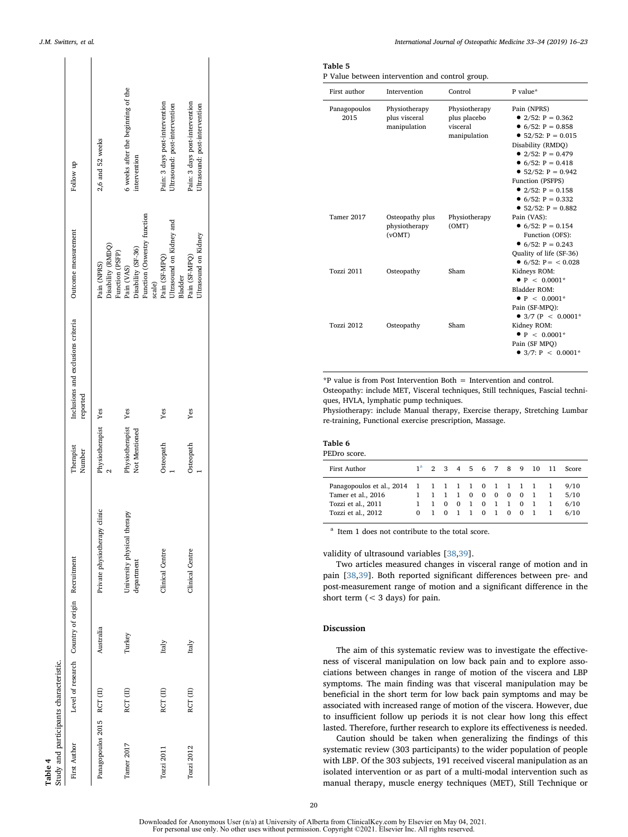<span id="page-4-0"></span>

| Study and participants characteristic.<br>Table 4 |          |                                                 |                                              |                                  |                                                |                                                                           |                                                                 |
|---------------------------------------------------|----------|-------------------------------------------------|----------------------------------------------|----------------------------------|------------------------------------------------|---------------------------------------------------------------------------|-----------------------------------------------------------------|
| First Author                                      |          | Level of research Country of origin Recruitment |                                              | Therapist<br>Number              | Inclusions and exclusions criteria<br>reported | Outcome measurement                                                       | Follow up                                                       |
| Panagopoulos 2015 RCT (II)                        |          | Australia                                       | Private physiotherapy clinic                 | Physiotherapist Yes              |                                                | Disability (RMDQ)<br>Function (PSFP)<br>Pain (NPRS)                       | 2,6 and 52 weeks                                                |
| Tamer 2017                                        | RCT (II) | Turkey                                          | therapy<br>University physical<br>department | Physiotherapist<br>Not Mentioned | Yes                                            | Function (Oswestry function<br>Disability (SF-36)<br>Pain (VAS)<br>scale) | 6 weeks after the beginning of the<br>intervention              |
| Tozzi 2011                                        | RCT (II) | Italy                                           | Clinical Centre                              | Osteopath                        | Yes                                            | Ultrasound on Kidney and<br>Pain (SF-MPQ)<br>Bladder                      | Pain: 3 days post-intervention<br>Ultrasound: post-intervention |
| Tozzi 2012                                        | RCT (II) | Italy                                           | Clinical Centre                              | Osteopath                        | Yes                                            | Ultrasound on Kidney<br>Pain (SF-MPQ)                                     | Pain: 3 days post-intervention<br>Ultrasound: post-intervention |
|                                                   |          |                                                 |                                              |                                  |                                                |                                                                           |                                                                 |

 $\mathbf{r}$ 

 $\overline{\phantom{a}}$ 

## <span id="page-4-1"></span>Table 5

P Value between intervention and control group.

| First author         | Intervention                                   | Control                                                   | P value*                                                                                                                                                                                                                                                                                  |
|----------------------|------------------------------------------------|-----------------------------------------------------------|-------------------------------------------------------------------------------------------------------------------------------------------------------------------------------------------------------------------------------------------------------------------------------------------|
| Panagopoulos<br>2015 | Physiotherapy<br>plus visceral<br>manipulation | Physiotherapy<br>plus placebo<br>visceral<br>manipulation | Pain (NPRS)<br>• $2/52$ : P = 0.362<br>• $6/52$ : $P = 0.858$<br>• $52/52$ : $P = 0.015$<br>Disability (RMDO)<br>• $2/52$ : P = 0.479<br>• $6/52$ : $P = 0.418$<br>• $52/52$ : P = 0.942<br>Function (PSFPS)<br>• $2/52$ : $P = 0.158$<br>• $6/52$ : $P = 0.332$<br>• $52/52$ : P = 0.882 |
| Tamer 2017           | Osteopathy plus<br>physiotherapy<br>(vOMT)     | Physiotherapy<br>(OMT)                                    | Pain (VAS):<br>• $6/52$ : P = 0.154<br>Function (OFS):<br>• $6/52$ : $P = 0.243$<br>Quality of life (SF-36)<br>• 6/52: $P = \langle 0.028 \rangle$                                                                                                                                        |
| Tozzi 2011           | Osteopathy                                     | Sham                                                      | Kidneys ROM:<br>$\bullet$ P < 0.0001*<br>Bladder ROM:<br>$\bullet$ P < 0.0001*<br>Pain (SF-MPO):                                                                                                                                                                                          |
| <b>Tozzi 2012</b>    | Osteopathy                                     | Sham                                                      | • 3/7 (P < 0.0001*<br>Kidney ROM:<br>$\bullet$ P < 0.0001*<br>Pain (SF MPO)<br>$\bullet$ 3/7: P < 0.0001*                                                                                                                                                                                 |

\*P value is from Post Intervention Both = Intervention and control.

Osteopathy: include MET, Visceral techniques, Still techniques, Fascial techniques, HVLA, lymphatic pump techniques.

Physiotherapy: include Manual therapy, Exercise therapy, Stretching Lumbar re-training, Functional exercise prescription, Massage.

## <span id="page-4-2"></span>Table 6

| PEDro score.                                    |          |                   |             |                |                |                |                |                |                          |    |       |
|-------------------------------------------------|----------|-------------------|-------------|----------------|----------------|----------------|----------------|----------------|--------------------------|----|-------|
| First Author                                    |          |                   |             |                |                |                |                |                | $1^a$ 2 3 4 5 6 7 8 9 10 | 11 | Score |
| Panagopoulos et al., 2014 1 1 1 1 1 1 0 1 1 1 1 |          |                   |             |                |                |                |                |                |                          |    | 9/10  |
| Tamer et al., 2016                              |          | 1 1 1 1 0 0 0 0 0 |             |                |                |                |                |                | $\overline{1}$           |    | 5/10  |
| Tozzi et al., 2011                              |          |                   | $1 \quad 0$ | $\mathbf{0}$   | $\overline{1}$ | 0 <sub>1</sub> | $\mathbf{1}$   | $\mathbf{0}$   | $\overline{1}$           |    | 6/10  |
| Tozzi et al., 2012                              | $\Omega$ |                   | 1 0         | $\blacksquare$ | $\overline{1}$ | 0 <sub>1</sub> | $\overline{0}$ | $\overline{0}$ | $\overline{1}$           |    | 6/10  |

<span id="page-4-3"></span><sup>a</sup> Item 1 does not contribute to the total score.

validity of ultrasound variables [[38](#page-6-34)[,39](#page-6-35)].

Two articles measured changes in visceral range of motion and in pain [[38](#page-6-34)[,39](#page-6-35)]. Both reported significant differences between pre- and post-measurement range of motion and a significant difference in the short term (< 3 days) for pain.

## Discussion

The aim of this systematic review was to investigate the effectiveness of visceral manipulation on low back pain and to explore associations between changes in range of motion of the viscera and LBP symptoms. The main finding was that visceral manipulation may be beneficial in the short term for low back pain symptoms and may be associated with increased range of motion of the viscera. However, due to insufficient follow up periods it is not clear how long this effect lasted. Therefore, further research to explore its effectiveness is needed.

Caution should be taken when generalizing the findings of this systematic review (303 participants) to the wider population of people with LBP. Of the 303 subjects, 191 received visceral manipulation as an isolated intervention or as part of a multi-modal intervention such as manual therapy, muscle energy techniques (MET), Still Technique or

20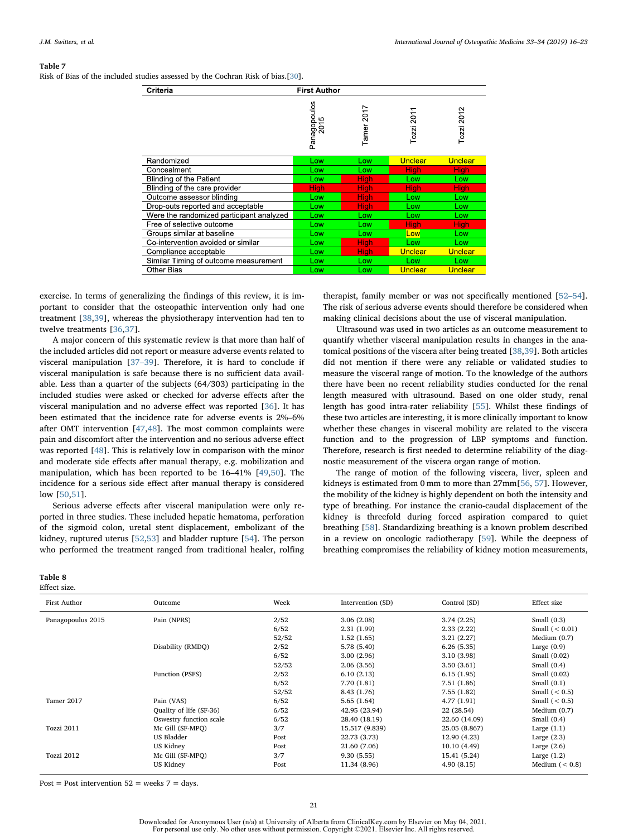#### <span id="page-5-0"></span>Table 7

Risk of Bias of the included studies assessed by the Cochran Risk of bias.[[30](#page-6-26)].

| Criteria                                 | <b>First Author</b>  |               |                |             |
|------------------------------------------|----------------------|---------------|----------------|-------------|
|                                          | Panagopoulos<br>2015 | 2017<br>Tamer | 201<br>Tozzi   | Tozzi 2012  |
| Randomized                               | Low                  | Low           | <b>Unclear</b> | Unclear     |
| Concealment                              | Low                  | Low           | <b>High</b>    | <b>High</b> |
| <b>Blinding of the Patient</b>           | Low                  | <b>High</b>   | Low            | Low         |
| Blinding of the care provider            | High                 | <b>High</b>   | High           | High        |
| Outcome assessor blinding                | Low                  | <b>High</b>   | Low            | Low         |
| Drop-outs reported and acceptable        | Low                  | <b>High</b>   | Low            | Low         |
| Were the randomized participant analyzed | Low                  | Low           | Low            | Low         |
| Free of selective outcome                | LOW                  | Low           | High           | High        |
| Groups similar at baseline               | Low                  | Low           | Low            | Low         |
| Co-intervention avoided or similar       | Low                  | <b>High</b>   | Low            | Low         |
| Compliance acceptable                    | Low                  | <b>High</b>   | <b>Unclear</b> | Unclear     |
| Similar Timing of outcome measurement    | Low                  | Low           | Low            | Low         |
| Other Bias                               | Low                  | Low           | Unclear        | Unclear     |

exercise. In terms of generalizing the findings of this review, it is important to consider that the osteopathic intervention only had one treatment [\[38](#page-6-34)[,39](#page-6-35)], whereas the physiotherapy intervention had ten to twelve treatments [\[36](#page-6-32)[,37](#page-6-33)].

A major concern of this systematic review is that more than half of the included articles did not report or measure adverse events related to visceral manipulation [37–[39\]](#page-6-33). Therefore, it is hard to conclude if visceral manipulation is safe because there is no sufficient data available. Less than a quarter of the subjects (64/303) participating in the included studies were asked or checked for adverse effects after the visceral manipulation and no adverse effect was reported [[36\]](#page-6-32). It has been estimated that the incidence rate for adverse events is 2%–6% after OMT intervention [[47,](#page-7-5)[48\]](#page-7-6). The most common complaints were pain and discomfort after the intervention and no serious adverse effect was reported [\[48](#page-7-6)]. This is relatively low in comparison with the minor and moderate side effects after manual therapy, e.g. mobilization and manipulation, which has been reported to be 16–41% [[49,](#page-7-7)[50\]](#page-7-8). The incidence for a serious side effect after manual therapy is considered low [[50,](#page-7-8)[51\]](#page-7-9).

Serious adverse effects after visceral manipulation were only reported in three studies. These included hepatic hematoma, perforation of the sigmoid colon, uretal stent displacement, embolizant of the kidney, ruptured uterus [[52](#page-7-10)[,53](#page-7-11)] and bladder rupture [[54\]](#page-7-12). The person who performed the treatment ranged from traditional healer, rolfing

## <span id="page-5-1"></span>Table 8

Effect size.

therapist, family member or was not specifically mentioned [\[52](#page-7-10)–54]. The risk of serious adverse events should therefore be considered when making clinical decisions about the use of visceral manipulation.

Ultrasound was used in two articles as an outcome measurement to quantify whether visceral manipulation results in changes in the anatomical positions of the viscera after being treated [\[38](#page-6-34)[,39](#page-6-35)]. Both articles did not mention if there were any reliable or validated studies to measure the visceral range of motion. To the knowledge of the authors there have been no recent reliability studies conducted for the renal length measured with ultrasound. Based on one older study, renal length has good intra-rater reliability [\[55](#page-7-13)]. Whilst these findings of these two articles are interesting, it is more clinically important to know whether these changes in visceral mobility are related to the viscera function and to the progression of LBP symptoms and function. Therefore, research is first needed to determine reliability of the diagnostic measurement of the viscera organ range of motion.

The range of motion of the following viscera, liver, spleen and kidneys is estimated from 0 mm to more than 27mm[[56,](#page-7-14) [57](#page-7-15)]. However, the mobility of the kidney is highly dependent on both the intensity and type of breathing. For instance the cranio-caudal displacement of the kidney is threefold during forced aspiration compared to quiet breathing [\[58](#page-7-16)]. Standardizing breathing is a known problem described in a review on oncologic radiotherapy [[59\]](#page-7-17). While the deepness of breathing compromises the reliability of kidney motion measurements,

| Outcome                 | Week  | Intervention (SD) | Control (SD)  | Effect size      |
|-------------------------|-------|-------------------|---------------|------------------|
| Pain (NPRS)             | 2/52  | 3.06(2.08)        | 3.74(2.25)    | Small $(0.3)$    |
|                         | 6/52  | 2.31(1.99)        | 2.33(2.22)    | Small $(0.01)$   |
|                         | 52/52 | 1.52(1.65)        | 3.21(2.27)    | Medium $(0.7)$   |
| Disability (RMDO)       | 2/52  | 5.78 (5.40)       | 6.26(5.35)    | Large $(0.9)$    |
|                         | 6/52  | 3.00(2.96)        | 3.10 (3.98)   | Small $(0.02)$   |
|                         | 52/52 | 2.06 (3.56)       | 3.50(3.61)    | Small $(0.4)$    |
| Function (PSFS)         | 2/52  | 6.10(2.13)        | 6.15(1.95)    | Small $(0.02)$   |
|                         | 6/52  | 7.70 (1.81)       | 7.51(1.86)    | Small $(0.1)$    |
|                         | 52/52 | 8.43 (1.76)       | 7.55(1.82)    | Small $(< 0.5)$  |
| Pain (VAS)              | 6/52  | 5.65(1.64)        | 4.77 (1.91)   | Small $(< 0.5)$  |
| Quality of life (SF-36) | 6/52  | 42.95 (23.94)     | 22 (28.54)    | Medium $(0.7)$   |
| Oswestry function scale | 6/52  | 28.40 (18.19)     | 22.60 (14.09) | Small $(0.4)$    |
| Mc Gill (SF-MPO)        | 3/7   | 15.517 (9.839)    | 25.05 (8.867) | Large $(1.1)$    |
| <b>US Bladder</b>       | Post  | 22.73 (3.73)      | 12.90 (4.23)  | Large $(2.3)$    |
| US Kidney               | Post  | 21.60 (7.06)      | 10.10 (4.49)  | Large $(2.6)$    |
| Mc Gill (SF-MPO)        | 3/7   | 9.30(5.55)        | 15.41 (5.24)  | Large $(1.2)$    |
| US Kidney               | Post  | 11.34 (8.96)      | 4.90(8.15)    | Medium $(< 0.8)$ |
|                         |       |                   |               |                  |

Post = Post intervention  $52$  = weeks  $7$  = days.

Downloaded for Anonymous User (n/a) at University of Alberta from ClinicalKey.com by Elsevier on May 04, 2021. For personal use only. No other uses without permission. Copyright ©2021. Elsevier Inc. All rights reserved.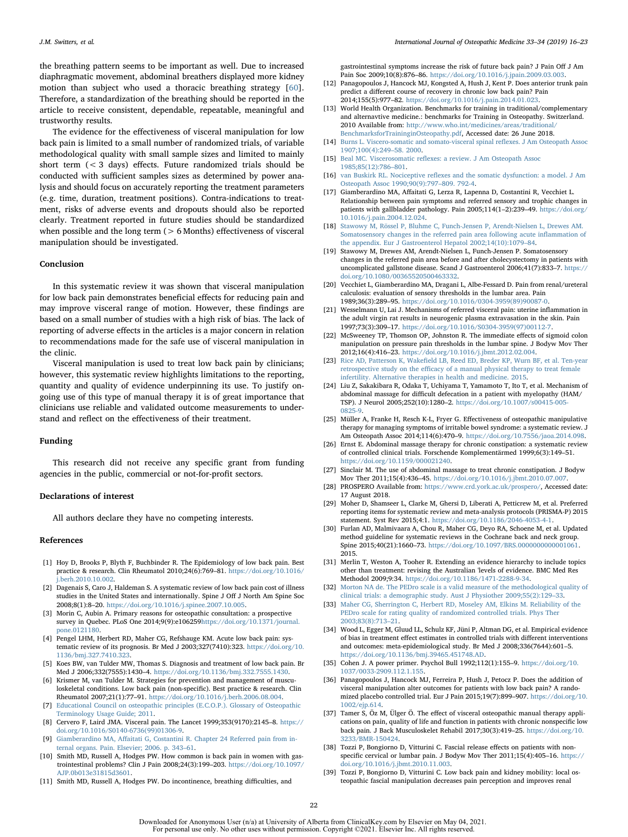the breathing pattern seems to be important as well. Due to increased diaphragmatic movement, abdominal breathers displayed more kidney motion than subject who used a thoracic breathing strategy [\[60](#page-7-18)]. Therefore, a standardization of the breathing should be reported in the article to receive consistent, dependable, repeatable, meaningful and trustworthy results.

The evidence for the effectiveness of visceral manipulation for low back pain is limited to a small number of randomized trials, of variable methodological quality with small sample sizes and limited to mainly short term (< 3 days) effects. Future randomized trials should be conducted with sufficient samples sizes as determined by power analysis and should focus on accurately reporting the treatment parameters (e.g. time, duration, treatment positions). Contra-indications to treatment, risks of adverse events and dropouts should also be reported clearly. Treatment reported in future studies should be standardized when possible and the long term ( $> 6$  Months) effectiveness of visceral manipulation should be investigated.

#### Conclusion

In this systematic review it was shown that visceral manipulation for low back pain demonstrates beneficial effects for reducing pain and may improve visceral range of motion. However, these findings are based on a small number of studies with a high risk of bias. The lack of reporting of adverse effects in the articles is a major concern in relation to recommendations made for the safe use of visceral manipulation in the clinic.

Visceral manipulation is used to treat low back pain by clinicians; however, this systematic review highlights limitations to the reporting, quantity and quality of evidence underpinning its use. To justify ongoing use of this type of manual therapy it is of great importance that clinicians use reliable and validated outcome measurements to understand and reflect on the effectiveness of their treatment.

#### Funding

This research did not receive any specific grant from funding agencies in the public, commercial or not-for-profit sectors.

#### Declarations of interest

All authors declare they have no competing interests.

#### References

- <span id="page-6-0"></span>[1] Hoy D, Brooks P, Blyth F, Buchbinder R. The Epidemiology of low back pain. Best practice & research. Clin Rheumatol 2010;24(6):769–81. [https://doi.org/10.1016/](https://doi.org/10.1016/j.berh.2010.10.002) berh.2010.10.002.
- <span id="page-6-1"></span>[2] Dagenais S, Caro J, Haldeman S. A systematic review of low back pain cost of illness studies in the United States and internationally. Spine J Off J North Am Spine Soc 2008;8(1):8–20. [https://doi.org/10.1016/j.spinee.2007.10.005.](https://doi.org/10.1016/j.spinee.2007.10.005)
- <span id="page-6-2"></span>[3] Morin C, Aubin A. Primary reasons for osteopathic consultation: a prospective survey in Quebec. PLoS One 2014;9(9):e106259[https://doi.org/10.1371/journal.](https://doi.org/10.1371/journal.pone.0121180) [pone.0121180.](https://doi.org/10.1371/journal.pone.0121180)
- <span id="page-6-3"></span>[4] Pengel LHM, Herbert RD, Maher CG, Refshauge KM. Acute low back pain: systematic review of its prognosis. Br Med J 2003;327(7410):323. [https://doi.org/10.](https://doi.org/10.1136/bmj.327.7410.323) [1136/bmj.327.7410.323.](https://doi.org/10.1136/bmj.327.7410.323)
- <span id="page-6-4"></span>[5] Koes BW, van Tulder MW, Thomas S. Diagnosis and treatment of low back pain. Br Med J 2006;332(7555):1430–4. [https://doi.org/10.1136/bmj.332.7555.1430.](https://doi.org/10.1136/bmj.332.7555.1430)
- <span id="page-6-5"></span>[6] Krismer M, van Tulder M. Strategies for prevention and management of musculoskeletal conditions. Low back pain (non-specific). Best practice & research. Clin Rheumatol 2007;21(1):77–91. [https://doi.org/10.1016/j.berh.2006.08.004.](https://doi.org/10.1016/j.berh.2006.08.004)
- <span id="page-6-6"></span>[7] [Educational Council on osteopathic principles \(E.C.O.P.\). Glossary of Osteopathic](http://refhub.elsevier.com/S1746-0689(19)30011-2/sref7) [Terminology Usage Guide; 2011.](http://refhub.elsevier.com/S1746-0689(19)30011-2/sref7)
- <span id="page-6-7"></span>[8] Cervero F, Laird JMA. Visceral pain. The Lancet 1999;353(9170):2145–8. [https://](https://doi.org/10.1016/S0140-6736(99)01306-9) [doi.org/10.1016/S0140-6736\(99\)01306-9.](https://doi.org/10.1016/S0140-6736(99)01306-9)
- <span id="page-6-8"></span>[9] Giamberardino MA, Aff[aitati G, Costantini R. Chapter 24 Referred pain from in](http://refhub.elsevier.com/S1746-0689(19)30011-2/sref9)[ternal organs. Pain. Elsevier; 2006. p. 343](http://refhub.elsevier.com/S1746-0689(19)30011-2/sref9)–61.
- <span id="page-6-9"></span>[10] Smith MD, Russell A, Hodges PW. How common is back pain in women with gastrointestinal problems? Clin J Pain 2008;24(3):199–203. [https://doi.org/10.1097/](https://doi.org/10.1097/AJP.0b013e31815d3601) [AJP.0b013e31815d3601.](https://doi.org/10.1097/AJP.0b013e31815d3601)
- <span id="page-6-10"></span>[11] Smith MD, Russell A, Hodges PW. Do incontinence, breathing difficulties, and

gastrointestinal symptoms increase the risk of future back pain? J Pain Off J Am Pain Soc 2009;10(8):876–86. [https://doi.org/10.1016/j.jpain.2009.03.003.](https://doi.org/10.1016/j.jpain.2009.03.003)

- <span id="page-6-11"></span>[12] Panagopoulos J, Hancock MJ, Kongsted A, Hush J, Kent P. Does anterior trunk pain predict a different course of recovery in chronic low back pain? Pain 2014;155(5):977–82. [https://doi.org/10.1016/j.pain.2014.01.023.](https://doi.org/10.1016/j.pain.2014.01.023)
- <span id="page-6-12"></span>[13] World Health Organization. Benchmarks for training in traditional/complementary and alternavtive medicine.: benchmarks for Training in Osteopathy. Switzerland. 2010 Available from: [http://www.who.int/medicines/areas/traditional/](http://www.who.int/medicines/areas/traditional/BenchmarksforTraininginOsteopathy.pdf) [BenchmarksforTraininginOsteopathy.pdf](http://www.who.int/medicines/areas/traditional/BenchmarksforTraininginOsteopathy.pdf), Accessed date: 26 June 2018.
- <span id="page-6-13"></span>[14] [Burns L. Viscero-somatic and somato-visceral spinal re](http://refhub.elsevier.com/S1746-0689(19)30011-2/sref14)flexes. J Am Osteopath Assoc [1907;100\(4\):249](http://refhub.elsevier.com/S1746-0689(19)30011-2/sref14)–58. 2000.
- <span id="page-6-14"></span>[15] Beal MC. Viscerosomatic reflexes: [a review. J Am Osteopath Assoc](http://refhub.elsevier.com/S1746-0689(19)30011-2/sref15) [1985;85\(12\):786](http://refhub.elsevier.com/S1746-0689(19)30011-2/sref15)–801.
- <span id="page-6-15"></span>[16] van Buskirk RL. Nociceptive refl[exes and the somatic dysfunction: a model. J Am](http://refhub.elsevier.com/S1746-0689(19)30011-2/sref16) [Osteopath Assoc 1990;90\(9\):797](http://refhub.elsevier.com/S1746-0689(19)30011-2/sref16)–809. 792-4.
- <span id="page-6-16"></span>[17] Giamberardino MA, Affaitati G, Lerza R, Lapenna D, Costantini R, Vecchiet L. Relationship between pain symptoms and referred sensory and trophic changes in patients with gallbladder pathology. Pain 2005;114(1–2):239–49. [https://doi.org/](https://doi.org/10.1016/j.pain.2004.12.024) [10.1016/j.pain.2004.12.024.](https://doi.org/10.1016/j.pain.2004.12.024)
- [18] [Stawowy M, Rössel P, Bluhme C, Funch-Jensen P, Arendt-Nielsen L, Drewes AM.](http://refhub.elsevier.com/S1746-0689(19)30011-2/sref18) [Somatosensory changes in the referred pain area following acute in](http://refhub.elsevier.com/S1746-0689(19)30011-2/sref18)flammation of [the appendix. Eur J Gastroenterol Hepatol 2002;14\(10\):1079](http://refhub.elsevier.com/S1746-0689(19)30011-2/sref18)–84.
- [19] Stawowy M, Drewes AM, Arendt-Nielsen L, Funch-Jensen P. Somatosensory changes in the referred pain area before and after cholecystectomy in patients with uncomplicated gallstone disease. Scand J Gastroenterol 2006;41(7):833–7. [https://](https://doi.org/10.1080/00365520500463332) [doi.org/10.1080/00365520500463332.](https://doi.org/10.1080/00365520500463332)
- [20] Vecchiet L, Giamberardino MA, Dragani L, Albe-Fessard D. Pain from renal/ureteral calculosis: evaluation of sensory thresholds in the lumbar area. Pain 1989;36(3):289–95. [https://doi.org/10.1016/0304-3959\(89\)90087-0.](https://doi.org/10.1016/0304-3959(89)90087-0)
- <span id="page-6-17"></span>[21] Wesselmann U, Lai J. Mechanisms of referred visceral pain: uterine inflammation in the adult virgin rat results in neurogenic plasma extravasation in the skin. Pain 1997;73(3):309–17. [https://doi.org/10.1016/S0304-3959\(97\)00112-7.](https://doi.org/10.1016/S0304-3959(97)00112-7)
- <span id="page-6-18"></span>[22] McSweeney TP, Thomson OP, Johnston R. The immediate effects of sigmoid colon manipulation on pressure pain thresholds in the lumbar spine. J Bodyw Mov Ther 2012;16(4):416–23. [https://doi.org/10.1016/j.jbmt.2012.02.004.](https://doi.org/10.1016/j.jbmt.2012.02.004)
- <span id="page-6-19"></span>[23] Rice AD, Patterson K, Wakefi[eld LB, Reed ED, Breder KP, Wurn BF, et al. Ten-year](http://refhub.elsevier.com/S1746-0689(19)30011-2/sref23) retrospective study on the effi[cacy of a manual physical therapy to treat female](http://refhub.elsevier.com/S1746-0689(19)30011-2/sref23) [infertility. Alternative therapies in health and medicine. 2015.](http://refhub.elsevier.com/S1746-0689(19)30011-2/sref23)
- <span id="page-6-20"></span>[24] Liu Z, Sakakibara R, Odaka T, Uchiyama T, Yamamoto T, Ito T, et al. Mechanism of abdominal massage for difficult defecation in a patient with myelopathy (HAM/ TSP). J Neurol 2005;252(10):1280–2. [https://doi.org/10.1007/s00415-005-](https://doi.org/10.1007/s00415-005-0825-9) [0825-9.](https://doi.org/10.1007/s00415-005-0825-9)
- <span id="page-6-21"></span>[25] Müller A, Franke H, Resch K-L, Fryer G. Effectiveness of osteopathic manipulative therapy for managing symptoms of irritable bowel syndrome: a systematic review. J Am Osteopath Assoc 2014;114(6):470–9. [https://doi.org/10.7556/jaoa.2014.098.](https://doi.org/10.7556/jaoa.2014.098)
- <span id="page-6-22"></span>[26] Ernst E. Abdominal massage therapy for chronic constipation: a systematic review of controlled clinical trials. Forschende Komplementärmed 1999;6(3):149–51. [https://doi.org/10.1159/000021240.](https://doi.org/10.1159/000021240)
- <span id="page-6-23"></span>[27] Sinclair M. The use of abdominal massage to treat chronic constipation. J Bodyw Mov Ther 2011;15(4):436–45. [https://doi.org/10.1016/j.jbmt.2010.07.007.](https://doi.org/10.1016/j.jbmt.2010.07.007)
- <span id="page-6-24"></span>[28] PROSPERO Available from: [https://www.crd.york.ac.uk/prospero/,](https://www.crd.york.ac.uk/prospero/) Accessed date: 17 August 2018.
- <span id="page-6-25"></span>[29] Moher D, Shamseer L, Clarke M, Ghersi D, Liberati A, Petticrew M, et al. Preferred reporting items for systematic review and meta-analysis protocols (PRISMA-P) 2015 statement. Syst Rev 2015;4:1. [https://doi.org/10.1186/2046-4053-4-1.](https://doi.org/10.1186/2046-4053-4-1)
- <span id="page-6-26"></span>[30] Furlan AD, Malmivaara A, Chou R, Maher CG, Deyo RA, Schoene M, et al. Updated method guideline for systematic reviews in the Cochrane back and neck group. Spine 2015;40(21):1660–73. [https://doi.org/10.1097/BRS.0000000000001061.](https://doi.org/10.1097/BRS.0000000000001061) [2015.](https://doi.org/10.1097/BRS.0000000000001061)
- <span id="page-6-27"></span>[31] Merlin T, Weston A, Tooher R. Extending an evidence hierarchy to include topics other than treatment: revising the Australian 'levels of evidence. BMC Med Res Methodol 2009;9:34. [https://doi.org/10.1186/1471-2288-9-34.](https://doi.org/10.1186/1471-2288-9-34)
- <span id="page-6-28"></span>[32] [Morton NA de. The PEDro scale is a valid measure of the methodological quality of](http://refhub.elsevier.com/S1746-0689(19)30011-2/sref32) [clinical trials: a demographic study. Aust J Physiother 2009;55\(2\):129](http://refhub.elsevier.com/S1746-0689(19)30011-2/sref32)–33.
- <span id="page-6-29"></span>[33] [Maher CG, Sherrington C, Herbert RD, Moseley AM, Elkins M. Reliability of the](http://refhub.elsevier.com/S1746-0689(19)30011-2/sref33) PEDro scale for rating quality of randomized controlled trials. Phys The [2003;83\(8\):713](http://refhub.elsevier.com/S1746-0689(19)30011-2/sref33)–21.
- <span id="page-6-30"></span>[34] Wood L, Egger M, Gluud LL, Schulz KF, Jüni P, Altman DG, et al. Empirical evidence of bias in treatment effect estimates in controlled trials with different interventions and outcomes: meta-epidemiological study. Br Med J 2008;336(7644):601–5. [https://doi.org/10.1136/bmj.39465.451748.AD.](https://doi.org/10.1136/bmj.39465.451748.AD)
- <span id="page-6-31"></span>[35] Cohen J. A power primer. Psychol Bull 1992;112(1):155–9. [https://doi.org/10.](https://doi.org/10.1037/0033-2909.112.1.155) [1037/0033-2909.112.1.155.](https://doi.org/10.1037/0033-2909.112.1.155)
- <span id="page-6-32"></span>[36] Panagopoulos J, Hancock MJ, Ferreira P, Hush J, Petocz P. Does the addition of visceral manipulation alter outcomes for patients with low back pain? A randomized placebo controlled trial. Eur J Pain 2015;19(7):899–907. [https://doi.org/10.](https://doi.org/10.1002/ejp.614) [1002/ejp.614.](https://doi.org/10.1002/ejp.614)
- <span id="page-6-33"></span>[37] Tamer S, Öz M, Ülger Ö. The effect of visceral osteopathic manual therapy applications on pain, quality of life and function in patients with chronic nonspecific low back pain. J Back Musculoskelet Rehabil 2017;30(3):419–25. [https://doi.org/10.](https://doi.org/10.3233/BMR-150424) [3233/BMR-150424.](https://doi.org/10.3233/BMR-150424)
- <span id="page-6-34"></span>[38] Tozzi P, Bongiorno D, Vitturini C. Fascial release effects on patients with nonspecific cervical or lumbar pain. J Bodyw Mov Ther 2011;15(4):405–16. [https://](https://doi.org/10.1016/j.jbmt.2010.11.003) [doi.org/10.1016/j.jbmt.2010.11.003.](https://doi.org/10.1016/j.jbmt.2010.11.003)
- <span id="page-6-35"></span>[39] Tozzi P, Bongiorno D, Vitturini C. Low back pain and kidney mobility: local osteopathic fascial manipulation decreases pain perception and improves renal